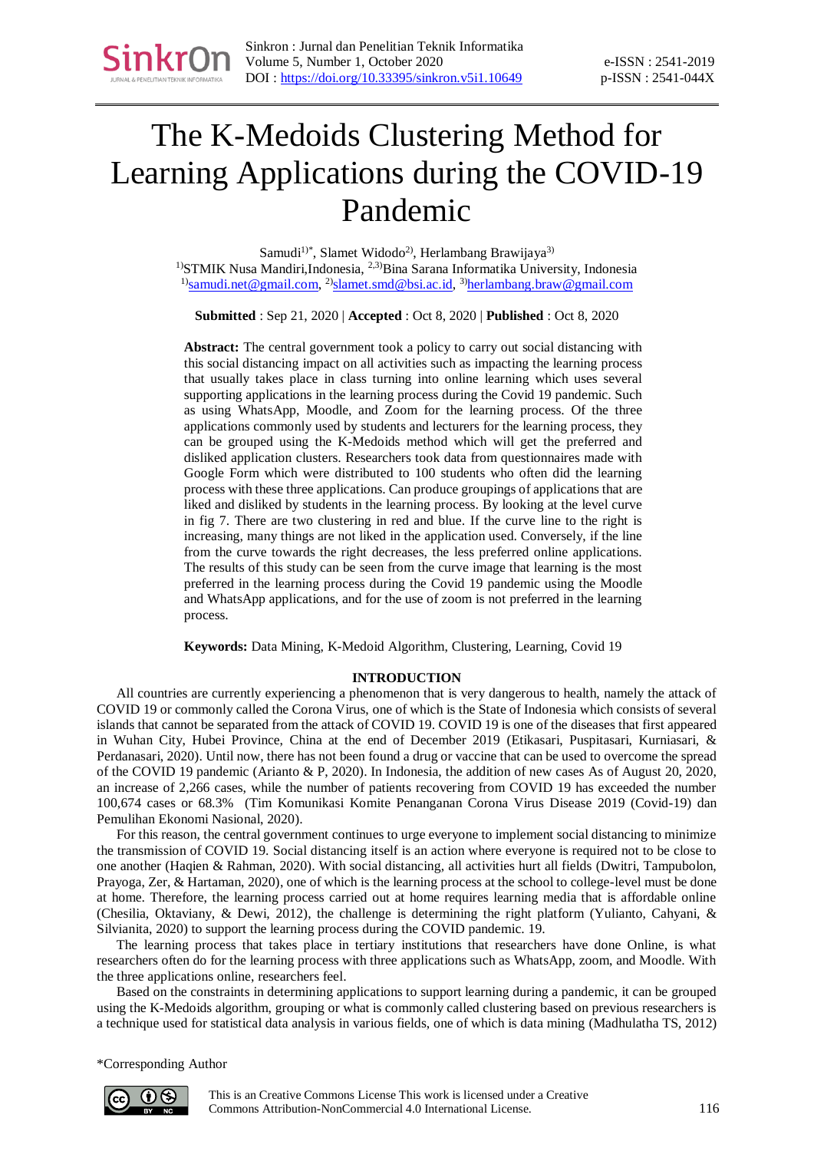# The K-Medoids Clustering Method for Learning Applications during the COVID-19 Pandemic

Samudi<sup>1)\*</sup>, Slamet Widodo<sup>2)</sup>, Herlambang Brawijaya<sup>3)</sup> <sup>1)</sup>STMIK Nusa Mandiri, Indonesia,  $2.3$ <sup>3</sup>Bina Sarana Informatika University, Indonesia <sup>1</sup>)[samudi.net@gmail.com,](mailto:samudi.net@gmail.com) <sup>2)</sup>[slamet.smd@bsi.ac.id,](file:///C:/Users/choir/Downloads/slamet.smd@bsi.ac.id) <sup>3)</sup>[herlambang.braw@gmail.com](file:///C:/Users/choir/Downloads/herlambang.braw@bsi.ac.id)

**Submitted** : Sep 21, 2020 | **Accepted** : Oct 8, 2020 | **Published** : Oct 8, 2020

**Abstract:** The central government took a policy to carry out social distancing with this social distancing impact on all activities such as impacting the learning process that usually takes place in class turning into online learning which uses several supporting applications in the learning process during the Covid 19 pandemic. Such as using WhatsApp, Moodle, and Zoom for the learning process. Of the three applications commonly used by students and lecturers for the learning process, they can be grouped using the K-Medoids method which will get the preferred and disliked application clusters. Researchers took data from questionnaires made with Google Form which were distributed to 100 students who often did the learning process with these three applications. Can produce groupings of applications that are liked and disliked by students in the learning process. By looking at the level curve in fig 7. There are two clustering in red and blue. If the curve line to the right is increasing, many things are not liked in the application used. Conversely, if the line from the curve towards the right decreases, the less preferred online applications. The results of this study can be seen from the curve image that learning is the most preferred in the learning process during the Covid 19 pandemic using the Moodle and WhatsApp applications, and for the use of zoom is not preferred in the learning process.

**Keywords:** Data Mining, K-Medoid Algorithm, Clustering, Learning, Covid 19

## **INTRODUCTION**

All countries are currently experiencing a phenomenon that is very dangerous to health, namely the attack of COVID 19 or commonly called the Corona Virus, one of which is the State of Indonesia which consists of several islands that cannot be separated from the attack of COVID 19. COVID 19 is one of the diseases that first appeared in Wuhan City, Hubei Province, China at the end of December 2019 (Etikasari, Puspitasari, Kurniasari, & Perdanasari, 2020). Until now, there has not been found a drug or vaccine that can be used to overcome the spread of the COVID 19 pandemic (Arianto & P, 2020). In Indonesia, the addition of new cases As of August 20, 2020, an increase of 2,266 cases, while the number of patients recovering from COVID 19 has exceeded the number 100,674 cases or 68.3% (Tim Komunikasi Komite Penanganan Corona Virus Disease 2019 (Covid-19) dan Pemulihan Ekonomi Nasional, 2020).

For this reason, the central government continues to urge everyone to implement social distancing to minimize the transmission of COVID 19. Social distancing itself is an action where everyone is required not to be close to one another (Haqien & Rahman, 2020). With social distancing, all activities hurt all fields (Dwitri, Tampubolon, Prayoga, Zer, & Hartaman, 2020), one of which is the learning process at the school to college-level must be done at home. Therefore, the learning process carried out at home requires learning media that is affordable online (Chesilia, Oktaviany, & Dewi, 2012), the challenge is determining the right platform (Yulianto, Cahyani, & Silvianita, 2020) to support the learning process during the COVID pandemic. 19.

The learning process that takes place in tertiary institutions that researchers have done Online, is what researchers often do for the learning process with three applications such as WhatsApp, zoom, and Moodle. With the three applications online, researchers feel.

Based on the constraints in determining applications to support learning during a pandemic, it can be grouped using the K-Medoids algorithm, grouping or what is commonly called clustering based on previous researchers is a technique used for statistical data analysis in various fields, one of which is data mining (Madhulatha TS, 2012)

\*Corresponding Author

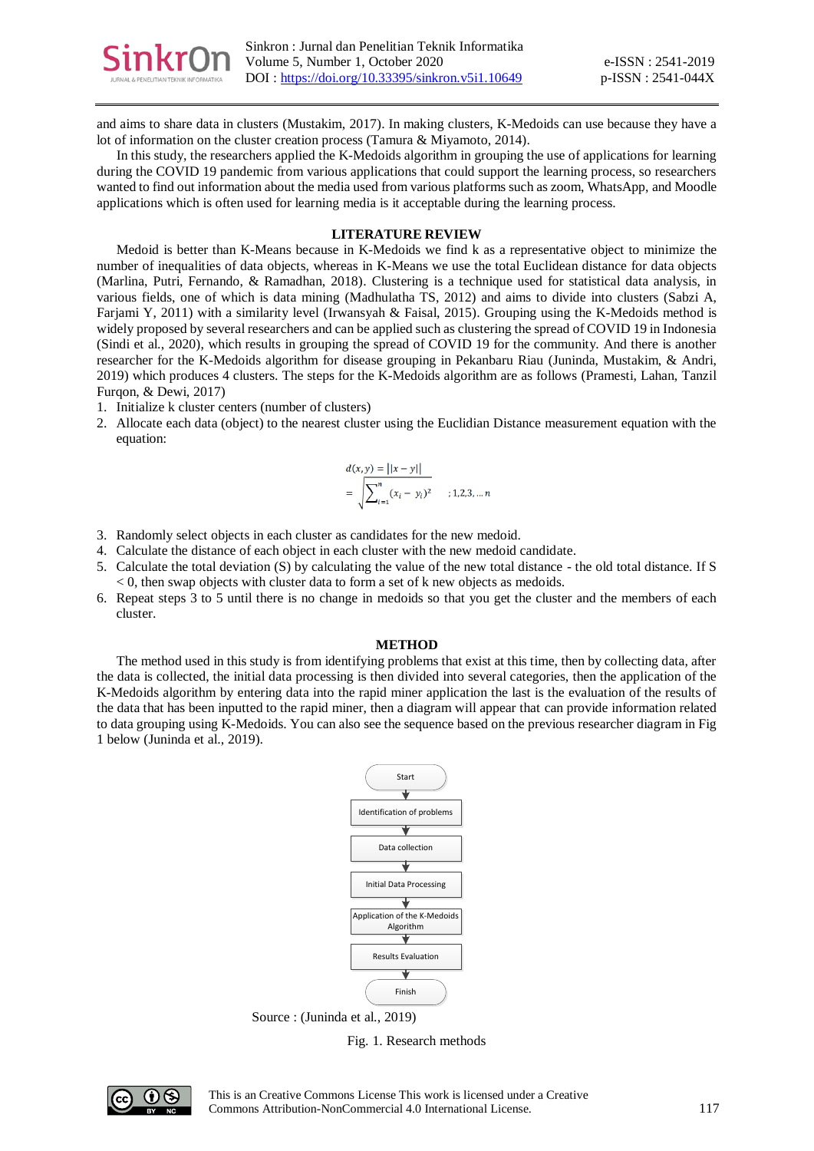

and aims to share data in clusters (Mustakim, 2017). In making clusters, K-Medoids can use because they have a lot of information on the cluster creation process (Tamura & Miyamoto, 2014).

In this study, the researchers applied the K-Medoids algorithm in grouping the use of applications for learning during the COVID 19 pandemic from various applications that could support the learning process, so researchers wanted to find out information about the media used from various platforms such as zoom, WhatsApp, and Moodle applications which is often used for learning media is it acceptable during the learning process.

## **LITERATURE REVIEW**

Medoid is better than K-Means because in K-Medoids we find k as a representative object to minimize the number of inequalities of data objects, whereas in K-Means we use the total Euclidean distance for data objects (Marlina, Putri, Fernando, & Ramadhan, 2018). Clustering is a technique used for statistical data analysis, in various fields, one of which is data mining (Madhulatha TS, 2012) and aims to divide into clusters (Sabzi A, Farjami Y, 2011) with a similarity level (Irwansyah & Faisal, 2015). Grouping using the K-Medoids method is widely proposed by several researchers and can be applied such as clustering the spread of COVID 19 in Indonesia (Sindi et al., 2020), which results in grouping the spread of COVID 19 for the community. And there is another researcher for the K-Medoids algorithm for disease grouping in Pekanbaru Riau (Juninda, Mustakim, & Andri, 2019) which produces 4 clusters. The steps for the K-Medoids algorithm are as follows (Pramesti, Lahan, Tanzil Furqon, & Dewi, 2017)

- 1. Initialize k cluster centers (number of clusters)
- 2. Allocate each data (object) to the nearest cluster using the Euclidian Distance measurement equation with the equation:

$$
d(x, y) = ||x - y||
$$
  
=  $\sqrt{\sum_{i=1}^{n} (x_i - y_i)^2}$  ; 1, 2, 3, ... n

- 3. Randomly select objects in each cluster as candidates for the new medoid.
- 4. Calculate the distance of each object in each cluster with the new medoid candidate.
- 5. Calculate the total deviation (S) by calculating the value of the new total distance the old total distance. If S < 0, then swap objects with cluster data to form a set of k new objects as medoids.
- 6. Repeat steps 3 to 5 until there is no change in medoids so that you get the cluster and the members of each cluster.

#### **METHOD**

The method used in this study is from identifying problems that exist at this time, then by collecting data, after the data is collected, the initial data processing is then divided into several categories, then the application of the K-Medoids algorithm by entering data into the rapid miner application the last is the evaluation of the results of the data that has been inputted to the rapid miner, then a diagram will appear that can provide information related to data grouping using K-Medoids. You can also see the sequence based on the previous researcher diagram in Fig 1 below (Juninda et al., 2019).



Source : (Juninda et al., 2019)

Fig. 1. Research methods

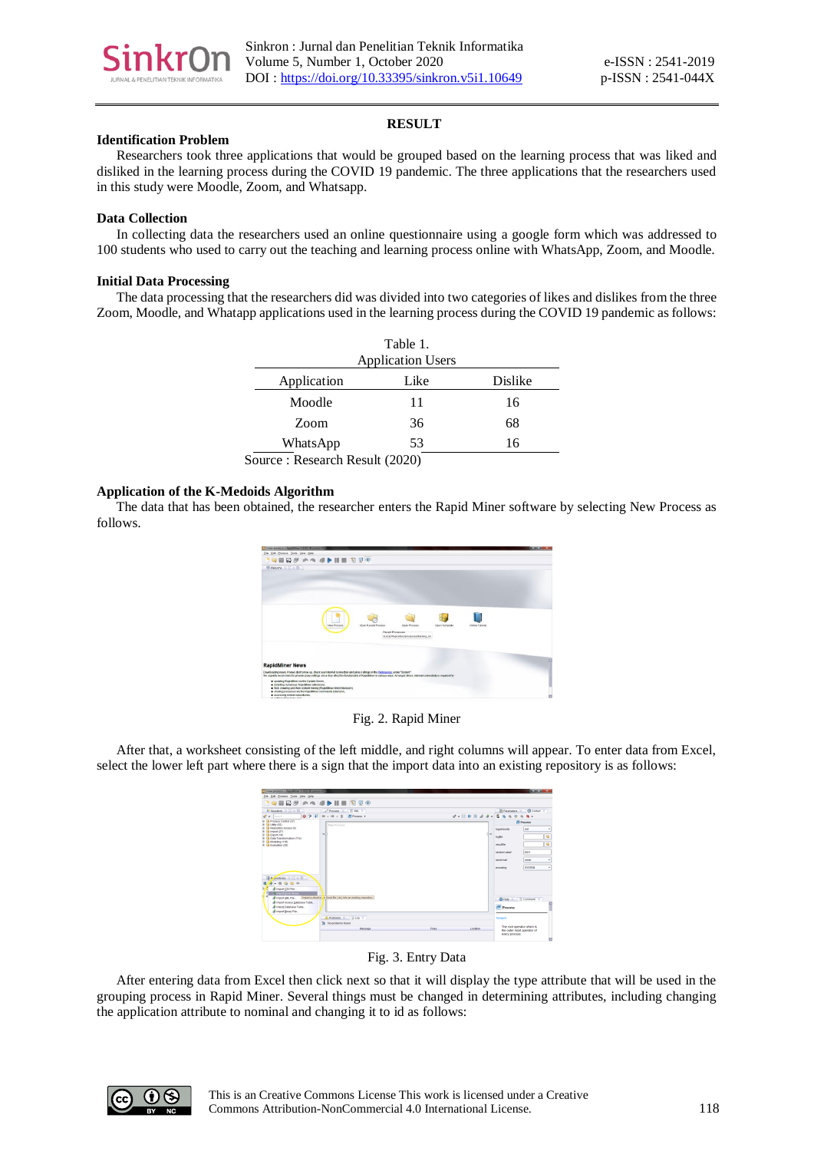

# **RESULT**

# **Identification Problem**

Researchers took three applications that would be grouped based on the learning process that was liked and disliked in the learning process during the COVID 19 pandemic. The three applications that the researchers used in this study were Moodle, Zoom, and Whatsapp.

# **Data Collection**

In collecting data the researchers used an online questionnaire using a google form which was addressed to 100 students who used to carry out the teaching and learning process online with WhatsApp, Zoom, and Moodle.

## **Initial Data Processing**

The data processing that the researchers did was divided into two categories of likes and dislikes from the three Zoom, Moodle, and Whatapp applications used in the learning process during the COVID 19 pandemic as follows:

| Table 1.                       |      |         |  |  |
|--------------------------------|------|---------|--|--|
| <b>Application Users</b>       |      |         |  |  |
| Application                    | Like | Dislike |  |  |
| Moodle                         | 11   | 16      |  |  |
| Zoom                           | 36   | 68      |  |  |
| WhatsApp                       | 53   | 16      |  |  |
| Source: Research Result (2020) |      |         |  |  |

# **Application of the K-Medoids Algorithm**

The data that has been obtained, the researcher enters the Rapid Miner software by selecting New Process as follows.



Fig. 2. Rapid Miner

After that, a worksheet consisting of the left middle, and right columns will appear. To enter data from Excel, select the lower left part where there is a sign that the import data into an existing repository is as follows:

| <b>COMM ENGINEERING COMPANY COMMITTEE COMMITTEE</b>                                     |              |                       |                                                          |                                      |
|-----------------------------------------------------------------------------------------|--------------|-----------------------|----------------------------------------------------------|--------------------------------------|
| Elle Edit Process Tools View Help                                                       |              |                       |                                                          |                                      |
| <b>CONDUCTION OF A STATE OF A STATE</b>                                                 |              |                       |                                                          |                                      |
| C Operators 30 00 00 00<br>Call Process 30 1 3F MIL 10                                  |              |                       |                                                          | <b>Ni Parameters 30 C Context 30</b> |
| 071<br>$40 - 10 - 2$ <b>E</b> Process ><br>$\sigma$ + Example                           |              | $0 - 11 + 13 - 3 - 5$ |                                                          | $\mathbf{a}$                         |
| 30 UI Process Control (37)<br>the CO Listay of the<br><b>Main Process</b>               |              |                       |                                                          | <b>PR PYCORRS</b>                    |
| <b>In 13 Repository Access (6)</b>                                                      |              |                       | <b>Industrially</b>                                      | int                                  |
| ik El Import (27)<br>$\mathbf{z}_\theta$<br><b>B</b> El Export (18)                     |              | $d_{\rm BH}$          |                                                          |                                      |
| <b>B</b> Ca Data Transformation (114)<br>@ CD Modeling (118)                            |              |                       | logfie                                                   | $\mathbf{G}$                         |
| D G Evaluation (29)                                                                     |              |                       | <b>INSURER</b>                                           | ٠                                    |
|                                                                                         |              |                       | random awed                                              | 2001                                 |
|                                                                                         |              |                       | send mail                                                | never                                |
|                                                                                         |              |                       | encoding                                                 | <b>SYSTEM</b>                        |
|                                                                                         |              |                       |                                                          |                                      |
| <b>Repositories</b> of 22 or 83                                                         |              |                       |                                                          |                                      |
| $\begin{array}{ccc} \mathbf{G} & \mathbf{G} & \mathbf{0} & \mathbf{0} \end{array}$      |              |                       |                                                          |                                      |
| A Inpot CSV Fre                                                                         |              |                       |                                                          |                                      |
| C Import Excel Shoot                                                                    |              |                       |                                                          |                                      |
| Import a sheet in an Excel file (Jos) into an existing repositor:<br>dimport (M. File., |              |                       |                                                          | C Help 30 1 Comment 30               |
| A Import Access Database Table.<br>A Import Database Table                              |              |                       | <sup><i>S</i></sup> Process                              |                                      |
| & Import Binary File                                                                    |              |                       |                                                          |                                      |
| A Problems 30 3 Log 30                                                                  |              |                       | Synopsis                                                 |                                      |
| St No problems found                                                                    |              |                       |                                                          |                                      |
| Messace                                                                                 | <b>Class</b> | Location              | The root operator which is<br>the outer most operator of |                                      |
|                                                                                         |              |                       | every process.                                           |                                      |
|                                                                                         |              |                       |                                                          |                                      |

Fig. 3. Entry Data

After entering data from Excel then click next so that it will display the type attribute that will be used in the grouping process in Rapid Miner. Several things must be changed in determining attributes, including changing the application attribute to nominal and changing it to id as follows:

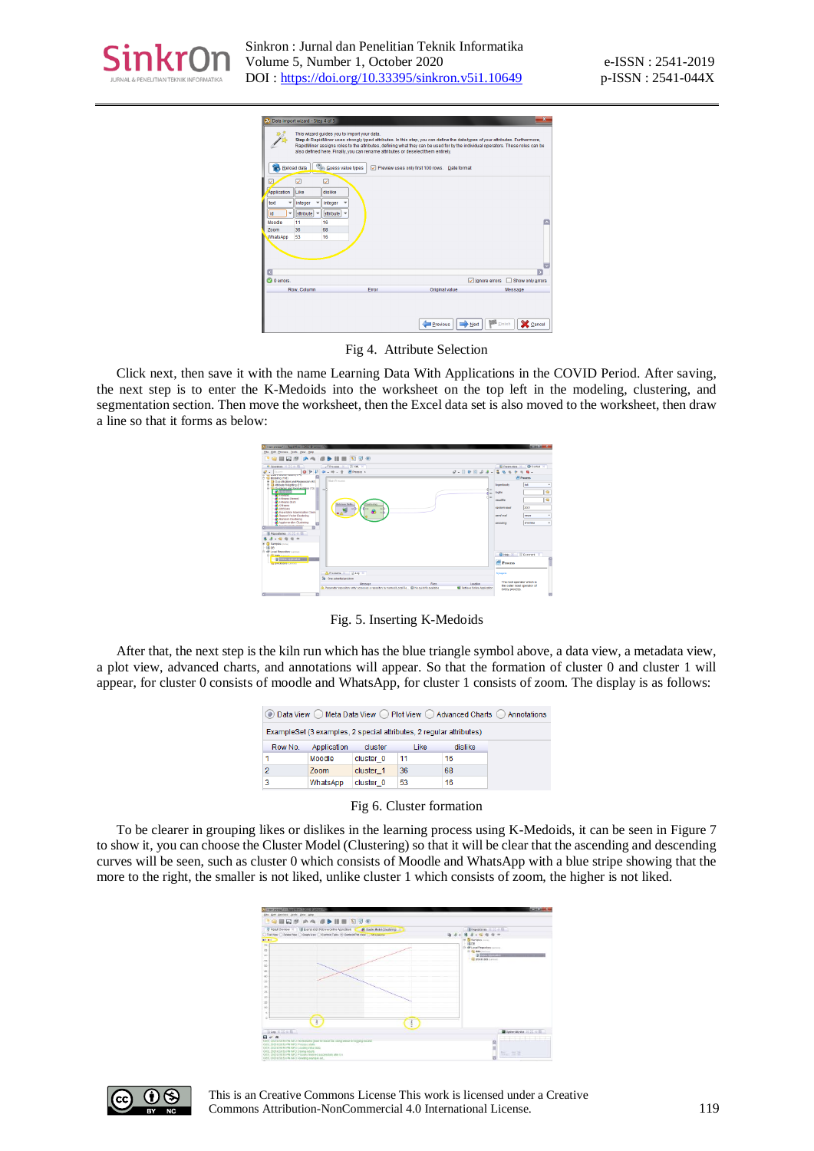

|                    |                           | This wizard guides you to import your data.     |       | Step 4: RapidMiner uses strongly typed attributes, In this step, you can define the data types of your attributes. Furthermore,<br>RapidMiner assigns roles to the attributes, defining what they can be used for by the individual operators. These roles can be<br>also defined here. Finally, you can rename attributes or deselect them entirely. |                                             |
|--------------------|---------------------------|-------------------------------------------------|-------|-------------------------------------------------------------------------------------------------------------------------------------------------------------------------------------------------------------------------------------------------------------------------------------------------------------------------------------------------------|---------------------------------------------|
|                    |                           | Reload data   C <sub>in</sub> Guess value types |       | Preview uses only first 100 rows. Date format                                                                                                                                                                                                                                                                                                         |                                             |
|                    | ◡                         | ⊽                                               |       |                                                                                                                                                                                                                                                                                                                                                       |                                             |
| Application        | Like                      | dislike                                         |       |                                                                                                                                                                                                                                                                                                                                                       |                                             |
| text<br>٠          | integer                   | integer                                         |       |                                                                                                                                                                                                                                                                                                                                                       |                                             |
| $\checkmark$<br>id | attribute<br>$\checkmark$ | attribute<br>٠                                  |       |                                                                                                                                                                                                                                                                                                                                                       |                                             |
| Moodle             | 11                        | 16                                              |       |                                                                                                                                                                                                                                                                                                                                                       | ×                                           |
| <b>Zoom</b>        | 36                        | 68                                              |       |                                                                                                                                                                                                                                                                                                                                                       |                                             |
| WhatsApp           | 53                        | 16                                              |       |                                                                                                                                                                                                                                                                                                                                                       |                                             |
|                    |                           |                                                 |       |                                                                                                                                                                                                                                                                                                                                                       | Б                                           |
| O errors.          |                           |                                                 |       |                                                                                                                                                                                                                                                                                                                                                       | $\sqrt{}$ lanore errors<br>Show only errors |
|                    | Row, Column               |                                                 | Error | Original value                                                                                                                                                                                                                                                                                                                                        | Message                                     |
|                    |                           |                                                 |       |                                                                                                                                                                                                                                                                                                                                                       |                                             |

Fig 4. Attribute Selection

Click next, then save it with the name Learning Data With Applications in the COVID Period. After saving, the next step is to enter the K-Medoids into the worksheet on the top left in the modeling, clustering, and segmentation section. Then move the worksheet, then the Excel data set is also moved to the worksheet, then draw a line so that it forms as below:

| All crew process"> - Replatifier \$3.013 @ Lenous PC.                                                                                                                                                                                                                                                                                                                                                                                                                                                                                                                                                                                                                               |                                                                                                                                                 |        |                                                   |                                                                                                                                   | <b>STATISTICS</b>                                                            |
|-------------------------------------------------------------------------------------------------------------------------------------------------------------------------------------------------------------------------------------------------------------------------------------------------------------------------------------------------------------------------------------------------------------------------------------------------------------------------------------------------------------------------------------------------------------------------------------------------------------------------------------------------------------------------------------|-------------------------------------------------------------------------------------------------------------------------------------------------|--------|---------------------------------------------------|-----------------------------------------------------------------------------------------------------------------------------------|------------------------------------------------------------------------------|
| Ele Edit Process Tents View Help                                                                                                                                                                                                                                                                                                                                                                                                                                                                                                                                                                                                                                                    |                                                                                                                                                 |        |                                                   |                                                                                                                                   |                                                                              |
| <b>PORCER AND HE DRO</b>                                                                                                                                                                                                                                                                                                                                                                                                                                                                                                                                                                                                                                                            |                                                                                                                                                 |        |                                                   |                                                                                                                                   |                                                                              |
| <sup>ed</sup> Operators 20 22 or 32<br>071<br>$\cdot$<br>Swarch<br>we want transmitting out on the                                                                                                                                                                                                                                                                                                                                                                                                                                                                                                                                                                                  | Present N. D.W. N.<br>华· H - 十 图 Pitcess >                                                                                                      |        | $0.11 + 0.00 - 3.5$                               | <b>References</b> 30                                                                                                              | <b>CB</b> Control<br>株. +                                                    |
| Gill Medeling (1193)<br>IP ED Classificates and Regression (63)<br>E- 43 Athloude Weighting (21)<br>E @ Outbridge and Secondal (6) (13)<br><b>Collectivide</b><br><b>COMMUNIST</b><br>A billion's diamet<br><b>A</b> hilleans dash<br><b>SAX-Wears</b><br><b>CA CIRCLAN</b><br>A Executation Maximization Clush<br><b>A</b> Buseat Veder Clustering<br>A Randore Clustering<br>An Applomerative Chattering<br>ы<br><b>Tex Planes Phonester</b><br>n<br>Repositores 30 00 co 60<br>一 白 白 白 什<br><b>33 Carrotes</b> more!<br><b>图08</b><br>File (IP Local Recordany current)<br><b>Co dil Astronomico</b><br>- IS CHANN ASSOCIATE STATE CONTINUE<br><b>SALE DESCRIPTION CONTINUES</b> | Moto Process.<br>нľ<br><b>Belcieus Didio.</b><br><b>Seilering</b><br>iti b<br>$-1$<br>$\sim$<br>m<br>and the                                    |        | d m<br>d in<br>d me                               | <b>loquerbonity</b><br>loofile<br>requires.<br>random sport<br>annd mail<br>encoding<br>C Help 30   E Cammed 30<br><b>Process</b> | <b>El Process</b><br><b>Int</b><br>٠<br>٠<br>2001<br>Edvard<br><b>SYSTEM</b> |
|                                                                                                                                                                                                                                                                                                                                                                                                                                                                                                                                                                                                                                                                                     | Amasos X 3 Lis X                                                                                                                                |        |                                                   | Synapsis                                                                                                                          |                                                                              |
| n<br>n                                                                                                                                                                                                                                                                                                                                                                                                                                                                                                                                                                                                                                                                              | Str One potential problem<br><b>Message</b><br>Parameter repository entry accessos a repository by norma (ill. ocal Re @ No quick fix available | Fixes. | Location<br><b>WE Retrieve Online Application</b> | The root coerator which is<br>the outer most operator of<br>every process.                                                        |                                                                              |

Fig. 5. Inserting K-Medoids

After that, the next step is the kiln run which has the blue triangle symbol above, a data view, a metadata view, a plot view, advanced charts, and annotations will appear. So that the formation of cluster 0 and cluster 1 will appear, for cluster 0 consists of moodle and WhatsApp, for cluster 1 consists of zoom. The display is as follows:

| Data View ◯ Meta Data View ◯ Plot View ◯ Advanced Charts ◯ Annotations<br>$\circ$ |             |           |      |         |  |  |
|-----------------------------------------------------------------------------------|-------------|-----------|------|---------|--|--|
| ExampleSet (3 examples, 2 special attributes, 2 regular attributes)               |             |           |      |         |  |  |
| Row No.                                                                           | Application | cluster   | Like | dislike |  |  |
|                                                                                   | Moodle      | cluster 0 | 11   | 16      |  |  |
| 2                                                                                 | Zoom        | cluster 1 | 36   | 68      |  |  |
| 3                                                                                 | WhatsApp    | cluster 0 | 53   | 16      |  |  |

Fig 6. Cluster formation

To be clearer in grouping likes or dislikes in the learning process using K-Medoids, it can be seen in Figure 7 to show it, you can choose the Cluster Model (Clustering) so that it will be clear that the ascending and descending curves will be seen, such as cluster 0 which consists of Moodle and WhatsApp with a blue stripe showing that the more to the right, the smaller is not liked, unlike cluster 1 which consists of zoom, the higher is not liked.



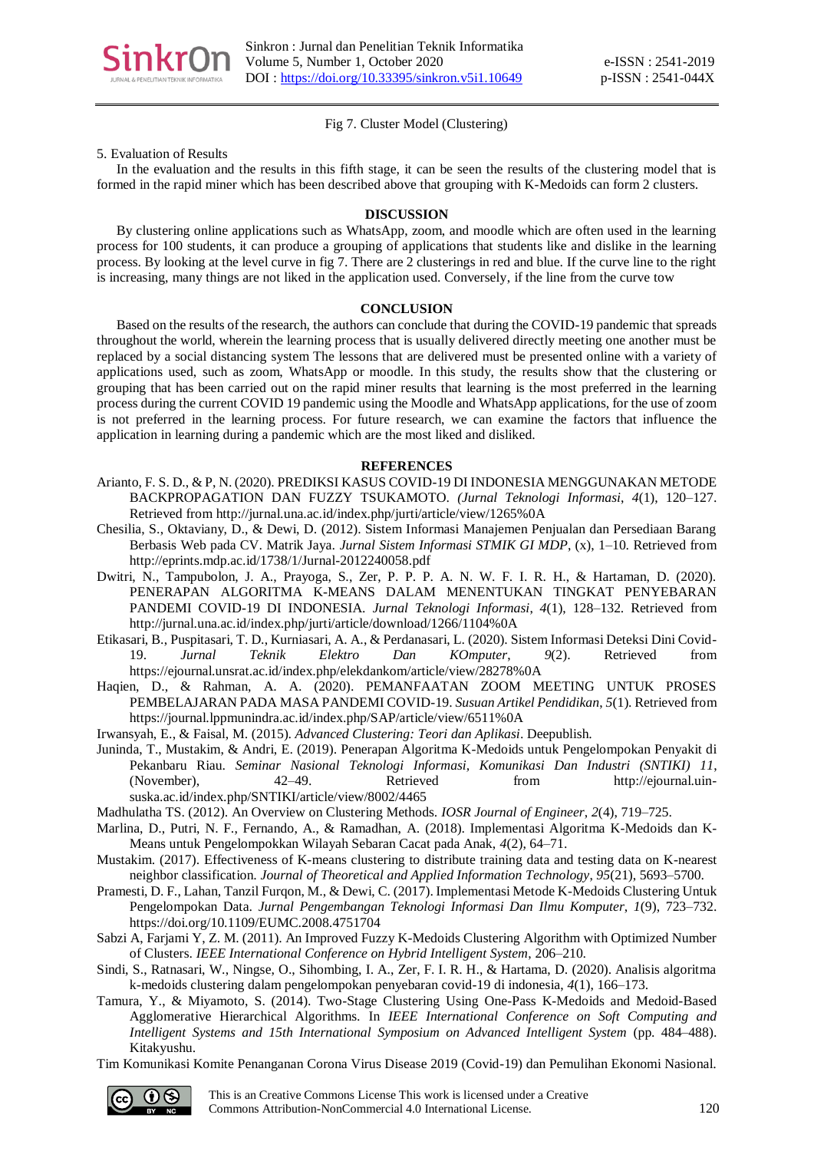

# Fig 7. Cluster Model (Clustering)

#### 5. Evaluation of Results

In the evaluation and the results in this fifth stage, it can be seen the results of the clustering model that is formed in the rapid miner which has been described above that grouping with K-Medoids can form 2 clusters.

#### **DISCUSSION**

By clustering online applications such as WhatsApp, zoom, and moodle which are often used in the learning process for 100 students, it can produce a grouping of applications that students like and dislike in the learning process. By looking at the level curve in fig 7. There are 2 clusterings in red and blue. If the curve line to the right is increasing, many things are not liked in the application used. Conversely, if the line from the curve tow

## **CONCLUSION**

Based on the results of the research, the authors can conclude that during the COVID-19 pandemic that spreads throughout the world, wherein the learning process that is usually delivered directly meeting one another must be replaced by a social distancing system The lessons that are delivered must be presented online with a variety of applications used, such as zoom, WhatsApp or moodle. In this study, the results show that the clustering or grouping that has been carried out on the rapid miner results that learning is the most preferred in the learning process during the current COVID 19 pandemic using the Moodle and WhatsApp applications, for the use of zoom is not preferred in the learning process. For future research, we can examine the factors that influence the application in learning during a pandemic which are the most liked and disliked.

#### **REFERENCES**

- Arianto, F. S. D., & P, N. (2020). PREDIKSI KASUS COVID-19 DI INDONESIA MENGGUNAKAN METODE BACKPROPAGATION DAN FUZZY TSUKAMOTO. *(Jurnal Teknologi Informasi*, *4*(1), 120–127. Retrieved from http://jurnal.una.ac.id/index.php/jurti/article/view/1265%0A
- Chesilia, S., Oktaviany, D., & Dewi, D. (2012). Sistem Informasi Manajemen Penjualan dan Persediaan Barang Berbasis Web pada CV. Matrik Jaya. *Jurnal Sistem Informasi STMIK GI MDP*, (x), 1–10. Retrieved from http://eprints.mdp.ac.id/1738/1/Jurnal-2012240058.pdf
- Dwitri, N., Tampubolon, J. A., Prayoga, S., Zer, P. P. P. A. N. W. F. I. R. H., & Hartaman, D. (2020). PENERAPAN ALGORITMA K-MEANS DALAM MENENTUKAN TINGKAT PENYEBARAN PANDEMI COVID-19 DI INDONESIA. *Jurnal Teknologi Informasi*, *4*(1), 128–132. Retrieved from http://jurnal.una.ac.id/index.php/jurti/article/download/1266/1104%0A
- Etikasari, B., Puspitasari, T. D., Kurniasari, A. A., & Perdanasari, L. (2020). Sistem Informasi Deteksi Dini Covid-19. *Jurnal Teknik Elektro Dan KOmputer*, *9*(2). Retrieved from https://ejournal.unsrat.ac.id/index.php/elekdankom/article/view/28278%0A
- Haqien, D., & Rahman, A. A. (2020). PEMANFAATAN ZOOM MEETING UNTUK PROSES PEMBELAJARAN PADA MASA PANDEMI COVID-19. *Susuan Artikel Pendidikan*, *5*(1). Retrieved from https://journal.lppmunindra.ac.id/index.php/SAP/article/view/6511%0A
- Irwansyah, E., & Faisal, M. (2015). *Advanced Clustering: Teori dan Aplikasi*. Deepublish.
- Juninda, T., Mustakim, & Andri, E. (2019). Penerapan Algoritma K-Medoids untuk Pengelompokan Penyakit di Pekanbaru Riau. *Seminar Nasional Teknologi Informasi, Komunikasi Dan Industri (SNTIKI) 11*, (November), 42–49. Retrieved from http://ejournal.uinsuska.ac.id/index.php/SNTIKI/article/view/8002/4465
- Madhulatha TS. (2012). An Overview on Clustering Methods. *IOSR Journal of Engineer*, *2*(4), 719–725.
- Marlina, D., Putri, N. F., Fernando, A., & Ramadhan, A. (2018). Implementasi Algoritma K-Medoids dan K-Means untuk Pengelompokkan Wilayah Sebaran Cacat pada Anak, *4*(2), 64–71.
- Mustakim. (2017). Effectiveness of K-means clustering to distribute training data and testing data on K-nearest neighbor classification. *Journal of Theoretical and Applied Information Technology*, *95*(21), 5693–5700.
- Pramesti, D. F., Lahan, Tanzil Furqon, M., & Dewi, C. (2017). Implementasi Metode K-Medoids Clustering Untuk Pengelompokan Data. *Jurnal Pengembangan Teknologi Informasi Dan Ilmu Komputer*, *1*(9), 723–732. https://doi.org/10.1109/EUMC.2008.4751704
- Sabzi A, Farjami Y, Z. M. (2011). An Improved Fuzzy K-Medoids Clustering Algorithm with Optimized Number of Clusters. *IEEE International Conference on Hybrid Intelligent System*, 206–210.
- Sindi, S., Ratnasari, W., Ningse, O., Sihombing, I. A., Zer, F. I. R. H., & Hartama, D. (2020). Analisis algoritma k-medoids clustering dalam pengelompokan penyebaran covid-19 di indonesia, *4*(1), 166–173.
- Tamura, Y., & Miyamoto, S. (2014). Two-Stage Clustering Using One-Pass K-Medoids and Medoid-Based Agglomerative Hierarchical Algorithms. In *IEEE International Conference on Soft Computing and Intelligent Systems and 15th International Symposium on Advanced Intelligent System* (pp. 484–488). Kitakyushu.
- Tim Komunikasi Komite Penanganan Corona Virus Disease 2019 (Covid-19) dan Pemulihan Ekonomi Nasional.